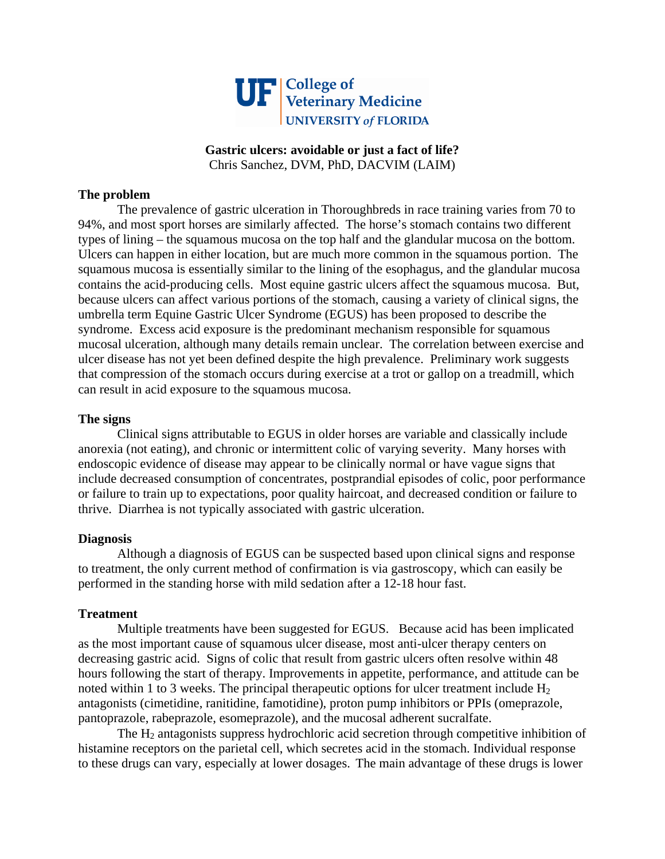

# **Gastric ulcers: avoidable or just a fact of life?**  Chris Sanchez, DVM, PhD, DACVIM (LAIM)

## **The problem**

The prevalence of gastric ulceration in Thoroughbreds in race training varies from 70 to 94%, and most sport horses are similarly affected. The horse's stomach contains two different types of lining – the squamous mucosa on the top half and the glandular mucosa on the bottom. Ulcers can happen in either location, but are much more common in the squamous portion. The squamous mucosa is essentially similar to the lining of the esophagus, and the glandular mucosa contains the acid-producing cells. Most equine gastric ulcers affect the squamous mucosa. But, because ulcers can affect various portions of the stomach, causing a variety of clinical signs, the umbrella term Equine Gastric Ulcer Syndrome (EGUS) has been proposed to describe the syndrome. Excess acid exposure is the predominant mechanism responsible for squamous mucosal ulceration, although many details remain unclear. The correlation between exercise and ulcer disease has not yet been defined despite the high prevalence. Preliminary work suggests that compression of the stomach occurs during exercise at a trot or gallop on a treadmill, which can result in acid exposure to the squamous mucosa.

## **The signs**

Clinical signs attributable to EGUS in older horses are variable and classically include anorexia (not eating), and chronic or intermittent colic of varying severity. Many horses with endoscopic evidence of disease may appear to be clinically normal or have vague signs that include decreased consumption of concentrates, postprandial episodes of colic, poor performance or failure to train up to expectations, poor quality haircoat, and decreased condition or failure to thrive. Diarrhea is not typically associated with gastric ulceration.

### **Diagnosis**

Although a diagnosis of EGUS can be suspected based upon clinical signs and response to treatment, the only current method of confirmation is via gastroscopy, which can easily be performed in the standing horse with mild sedation after a 12-18 hour fast.

### **Treatment**

Multiple treatments have been suggested for EGUS. Because acid has been implicated as the most important cause of squamous ulcer disease, most anti-ulcer therapy centers on decreasing gastric acid. Signs of colic that result from gastric ulcers often resolve within 48 hours following the start of therapy. Improvements in appetite, performance, and attitude can be noted within 1 to 3 weeks. The principal therapeutic options for ulcer treatment include  $H_2$ antagonists (cimetidine, ranitidine, famotidine), proton pump inhibitors or PPIs (omeprazole, pantoprazole, rabeprazole, esomeprazole), and the mucosal adherent sucralfate.

The  $H_2$  antagonists suppress hydrochloric acid secretion through competitive inhibition of histamine receptors on the parietal cell, which secretes acid in the stomach. Individual response to these drugs can vary, especially at lower dosages. The main advantage of these drugs is lower